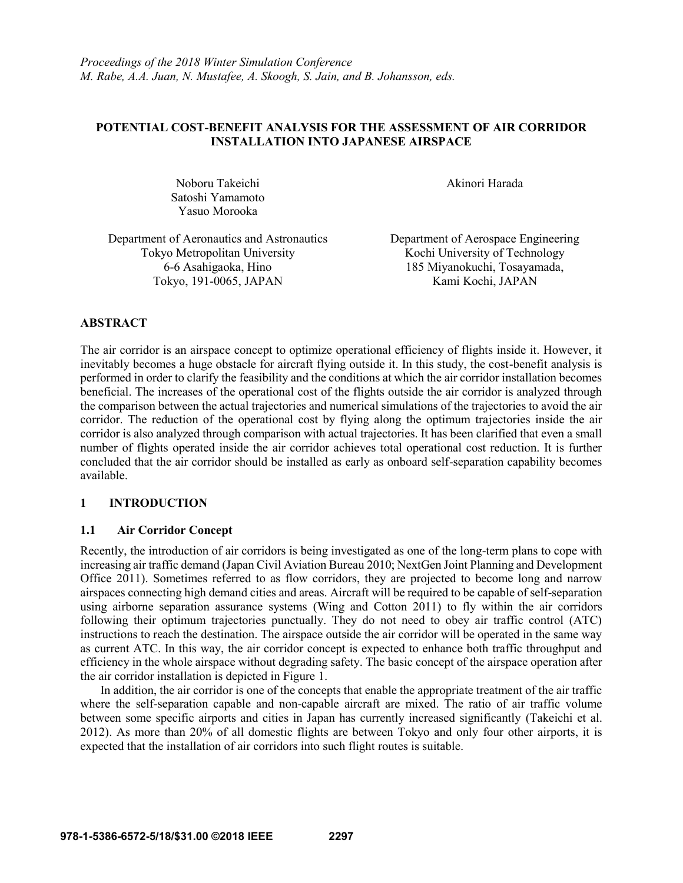# **POTENTIAL COST-BENEFIT ANALYSIS FOR THE ASSESSMENT OF AIR CORRIDOR INSTALLATION INTO JAPANESE AIRSPACE**

Noboru Takeichi **Akinori Harada** Satoshi Yamamoto Yasuo Morooka

Department of Aeronautics and Astronautics Department of Aerospace Engineering Tokyo Metropolitan University Kochi University of Technology Tokyo, 191-0065, JAPAN Kami Kochi, JAPAN

6-6 Asahigaoka, Hino 185 Miyanokuchi, Tosayamada,

# **ABSTRACT**

The air corridor is an airspace concept to optimize operational efficiency of flights inside it. However, it inevitably becomes a huge obstacle for aircraft flying outside it. In this study, the cost-benefit analysis is performed in order to clarify the feasibility and the conditions at which the air corridor installation becomes beneficial. The increases of the operational cost of the flights outside the air corridor is analyzed through the comparison between the actual trajectories and numerical simulations of the trajectories to avoid the air corridor. The reduction of the operational cost by flying along the optimum trajectories inside the air corridor is also analyzed through comparison with actual trajectories. It has been clarified that even a small number of flights operated inside the air corridor achieves total operational cost reduction. It is further concluded that the air corridor should be installed as early as onboard self-separation capability becomes available.

# **1 INTRODUCTION**

# **1.1 Air Corridor Concept**

Recently, the introduction of air corridors is being investigated as one of the long-term plans to cope with increasing air traffic demand (Japan Civil Aviation Bureau 2010; NextGen Joint Planning and Development Office 2011). Sometimes referred to as flow corridors, they are projected to become long and narrow airspaces connecting high demand cities and areas. Aircraft will be required to be capable of self-separation using airborne separation assurance systems (Wing and Cotton 2011) to fly within the air corridors following their optimum trajectories punctually. They do not need to obey air traffic control (ATC) instructions to reach the destination. The airspace outside the air corridor will be operated in the same way as current ATC. In this way, the air corridor concept is expected to enhance both traffic throughput and efficiency in the whole airspace without degrading safety. The basic concept of the airspace operation after the air corridor installation is depicted in Figure 1.

In addition, the air corridor is one of the concepts that enable the appropriate treatment of the air traffic where the self-separation capable and non-capable aircraft are mixed. The ratio of air traffic volume between some specific airports and cities in Japan has currently increased significantly (Takeichi et al. 2012). As more than 20% of all domestic flights are between Tokyo and only four other airports, it is expected that the installation of air corridors into such flight routes is suitable.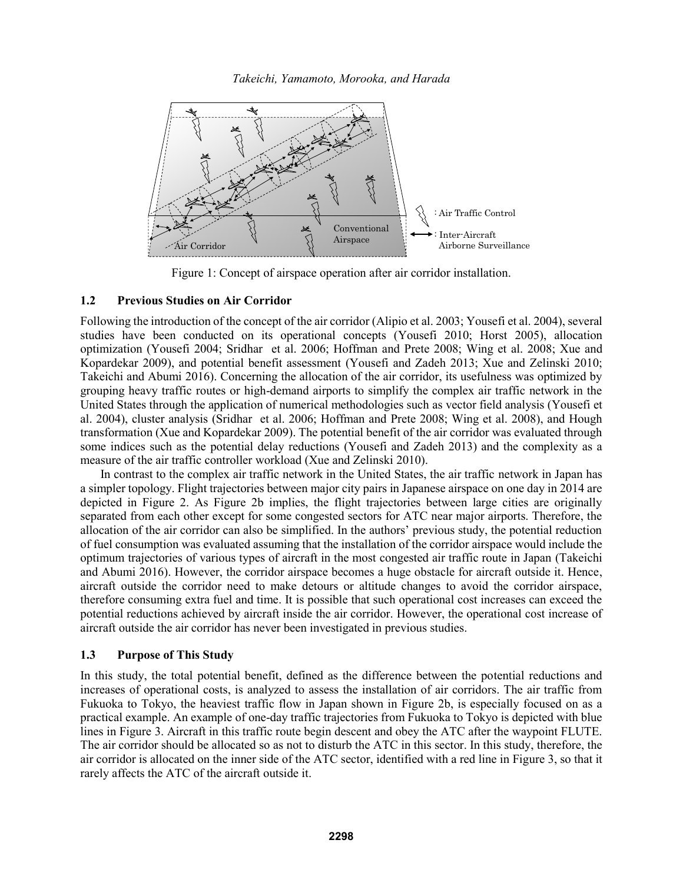

Figure 1: Concept of airspace operation after air corridor installation.

# **1.2 Previous Studies on Air Corridor**

Following the introduction of the concept of the air corridor (Alipio et al. 2003; Yousefi et al. 2004), several studies have been conducted on its operational concepts (Yousefi 2010; Horst 2005), allocation optimization (Yousefi 2004; Sridhar et al. 2006; Hoffman and Prete 2008; Wing et al. 2008; Xue and Kopardekar 2009), and potential benefit assessment (Yousefi and Zadeh 2013; Xue and Zelinski 2010; Takeichi and Abumi 2016). Concerning the allocation of the air corridor, its usefulness was optimized by grouping heavy traffic routes or high-demand airports to simplify the complex air traffic network in the United States through the application of numerical methodologies such as vector field analysis (Yousefi et al. 2004), cluster analysis (Sridhar et al. 2006; Hoffman and Prete 2008; Wing et al. 2008), and Hough transformation (Xue and Kopardekar 2009). The potential benefit of the air corridor was evaluated through some indices such as the potential delay reductions (Yousefi and Zadeh 2013) and the complexity as a measure of the air traffic controller workload (Xue and Zelinski 2010).

In contrast to the complex air traffic network in the United States, the air traffic network in Japan has a simpler topology. Flight trajectories between major city pairs in Japanese airspace on one day in 2014 are depicted in Figure 2. As Figure 2b implies, the flight trajectories between large cities are originally separated from each other except for some congested sectors for ATC near major airports. Therefore, the allocation of the air corridor can also be simplified. In the authors' previous study, the potential reduction of fuel consumption was evaluated assuming that the installation of the corridor airspace would include the optimum trajectories of various types of aircraft in the most congested air traffic route in Japan (Takeichi and Abumi 2016). However, the corridor airspace becomes a huge obstacle for aircraft outside it. Hence, aircraft outside the corridor need to make detours or altitude changes to avoid the corridor airspace, therefore consuming extra fuel and time. It is possible that such operational cost increases can exceed the potential reductions achieved by aircraft inside the air corridor. However, the operational cost increase of aircraft outside the air corridor has never been investigated in previous studies.

# **1.3 Purpose of This Study**

In this study, the total potential benefit, defined as the difference between the potential reductions and increases of operational costs, is analyzed to assess the installation of air corridors. The air traffic from Fukuoka to Tokyo, the heaviest traffic flow in Japan shown in Figure 2b, is especially focused on as a practical example. An example of one-day traffic trajectories from Fukuoka to Tokyo is depicted with blue lines in Figure 3. Aircraft in this traffic route begin descent and obey the ATC after the waypoint FLUTE. The air corridor should be allocated so as not to disturb the ATC in this sector. In this study, therefore, the air corridor is allocated on the inner side of the ATC sector, identified with a red line in Figure 3, so that it rarely affects the ATC of the aircraft outside it.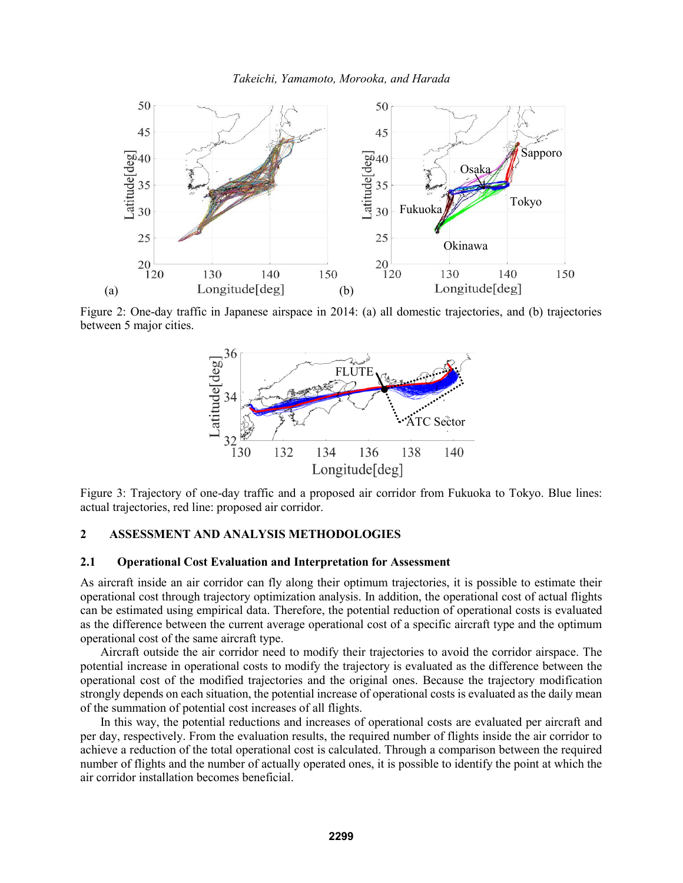

Figure 2: One-day traffic in Japanese airspace in 2014: (a) all domestic trajectories, and (b) trajectories between 5 major cities.



Figure 3: Trajectory of one-day traffic and a proposed air corridor from Fukuoka to Tokyo. Blue lines: actual trajectories, red line: proposed air corridor.

## **2 ASSESSMENT AND ANALYSIS METHODOLOGIES**

#### **2.1 Operational Cost Evaluation and Interpretation for Assessment**

As aircraft inside an air corridor can fly along their optimum trajectories, it is possible to estimate their operational cost through trajectory optimization analysis. In addition, the operational cost of actual flights can be estimated using empirical data. Therefore, the potential reduction of operational costs is evaluated as the difference between the current average operational cost of a specific aircraft type and the optimum operational cost of the same aircraft type.

Aircraft outside the air corridor need to modify their trajectories to avoid the corridor airspace. The potential increase in operational costs to modify the trajectory is evaluated as the difference between the operational cost of the modified trajectories and the original ones. Because the trajectory modification strongly depends on each situation, the potential increase of operational costs is evaluated as the daily mean of the summation of potential cost increases of all flights.

In this way, the potential reductions and increases of operational costs are evaluated per aircraft and per day, respectively. From the evaluation results, the required number of flights inside the air corridor to achieve a reduction of the total operational cost is calculated. Through a comparison between the required number of flights and the number of actually operated ones, it is possible to identify the point at which the air corridor installation becomes beneficial.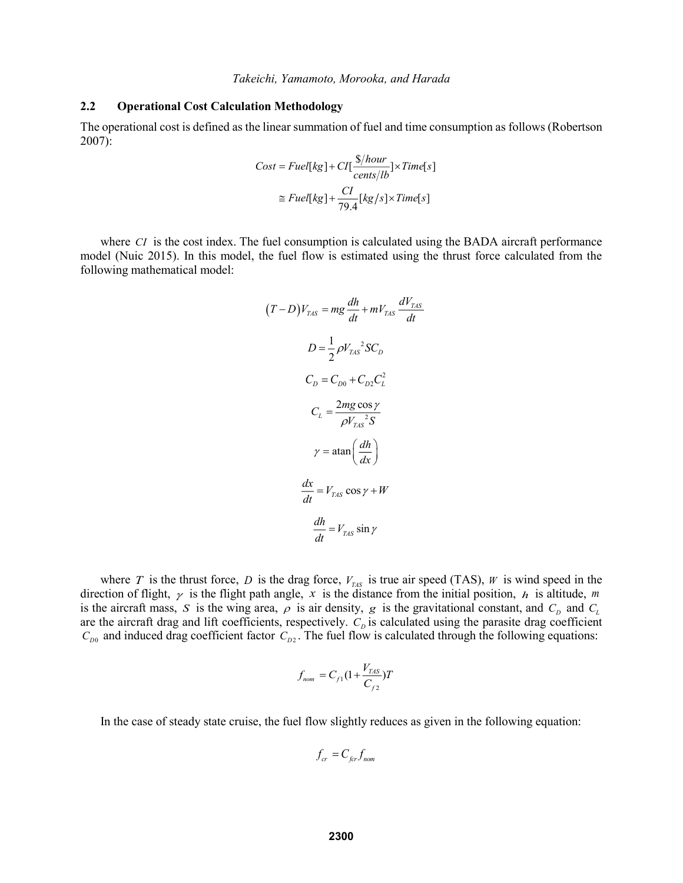### **2.2 Operational Cost Calculation Methodology**

The operational cost is defined as the linear summation of fuel and time consumption as follows (Robertson 2007):

$$
Cost = Fuel[kg] + CI[\frac{\$/hour}{cents/lb}] \times Time[s]
$$

$$
\approx Fuel[kg] + \frac{CI}{79.4}[kg/s] \times Time[s]
$$

where *CI* is the cost index. The fuel consumption is calculated using the BADA aircraft performance model (Nuic 2015). In this model, the fuel flow is estimated using the thrust force calculated from the following mathematical model:

$$
(T - D)V_{\text{LAS}} = mg \frac{dh}{dt} + mV_{\text{LAS}} \frac{dV_{\text{LAS}}}{dt}
$$
  

$$
D = \frac{1}{2} \rho V_{\text{LAS}}^2 SC_D
$$
  

$$
C_D = C_{D0} + C_{D2} C_L^2
$$
  

$$
C_L = \frac{2mg \cos \gamma}{\rho V_{\text{LAS}}^2 S}
$$
  

$$
\gamma = \text{atan} \left(\frac{dh}{dx}\right)
$$
  

$$
\frac{dx}{dt} = V_{\text{LAS}} \cos \gamma + W
$$
  

$$
\frac{dh}{dt} = V_{\text{LAS}} \sin \gamma
$$

where T is the thrust force, D is the drag force,  $V_{\text{TAS}}$  is true air speed (TAS), W is wind speed in the direction of flight,  $\gamma$  is the flight path angle, x is the distance from the initial position, h is altitude, m is the aircraft mass, S is the wing area,  $\rho$  is air density, g is the gravitational constant, and  $C_D$  and  $C_L$ are the aircraft drag and lift coefficients, respectively.  $C_p$  is calculated using the parasite drag coefficient  $C_{D0}$  and induced drag coefficient factor  $C_{D2}$ . The fuel flow is calculated through the following equations:

$$
f_{nom} = C_{f1}(1 + \frac{V_{TAS}}{C_{f2}})T
$$

In the case of steady state cruise, the fuel flow slightly reduces as given in the following equation:

$$
f_{cr} = C_{\text{fer}} f_{\text{nom}}
$$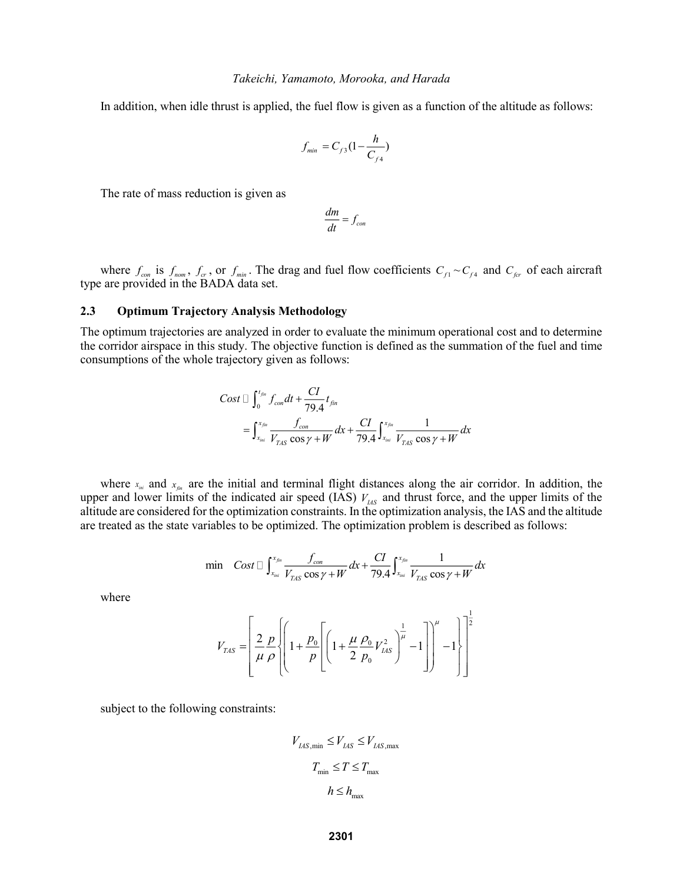In addition, when idle thrust is applied, the fuel flow is given as a function of the altitude as follows:

$$
f_{\min} = C_{f3} (1 - \frac{h}{C_{f4}})
$$

The rate of mass reduction is given as

$$
\frac{dm}{dt} = f_{con}
$$

where  $f_{con}$  is  $f_{nom}$ ,  $f_{cr}$ , or  $f_{min}$ . The drag and fuel flow coefficients  $C_{f1} \sim C_{f4}$  and  $C_{for}$  of each aircraft type are provided in the BADA data set.

#### **2.3 Optimum Trajectory Analysis Methodology**

The optimum trajectories are analyzed in order to evaluate the minimum operational cost and to determine the corridor airspace in this study. The objective function is defined as the summation of the fuel and time consumptions of the whole trajectory given as follows:

$$
Cost \sqcup \int_{0}^{t_{fm}} f_{con} dt + \frac{CI}{79.4} t_{fin}
$$
  
= 
$$
\int_{x_{fm}}^{x_{fin}} \frac{f_{con}}{V_{TAS} \cos \gamma + W} dx + \frac{CI}{79.4} \int_{x_{fm}}^{x_{fin}} \frac{1}{V_{TAS} \cos \gamma + W} dx
$$

where  $x_{i_{min}}$  and  $x_{j_{min}}$  are the initial and terminal flight distances along the air corridor. In addition, the upper and lower limits of the indicated air speed (IAS)  $V_{\mu s}$  and thrust force, and the upper limits of the altitude are considered for the optimization constraints. In the optimization analysis, the IAS and the altitude

are treated as the state variables to be optimized. The optimization problem is described as follows:  
\n
$$
\min \quad Cost \Box \int_{x_{\text{init}}}^{x_{\text{fin}}} \frac{f_{\text{con}}}{V_{\text{TAS}} \cos \gamma + W} dx + \frac{CI}{79.4} \int_{x_{\text{init}}}^{x_{\text{fin}}} \frac{1}{V_{\text{TAS}} \cos \gamma + W} dx
$$

where

$$
V_{TAS} = \left[ \frac{2}{\mu} \frac{p}{\rho} \left\{ \left( 1 + \frac{p_0}{p} \left[ \left( 1 + \frac{\mu}{2} \frac{\rho_0}{p_0} V_{LAS}^2 \right)^{\frac{1}{\mu}} - 1 \right] \right)^{\mu} - 1 \right\} \right]^{\frac{1}{2}}
$$

subject to the following constraints:

$$
V_{\text{LAS,min}} \leq V_{\text{LAS}} \leq V_{\text{LAS,max}}
$$
  

$$
T_{\text{min}} \leq T \leq T_{\text{max}}
$$
  

$$
h \leq h_{\text{max}}
$$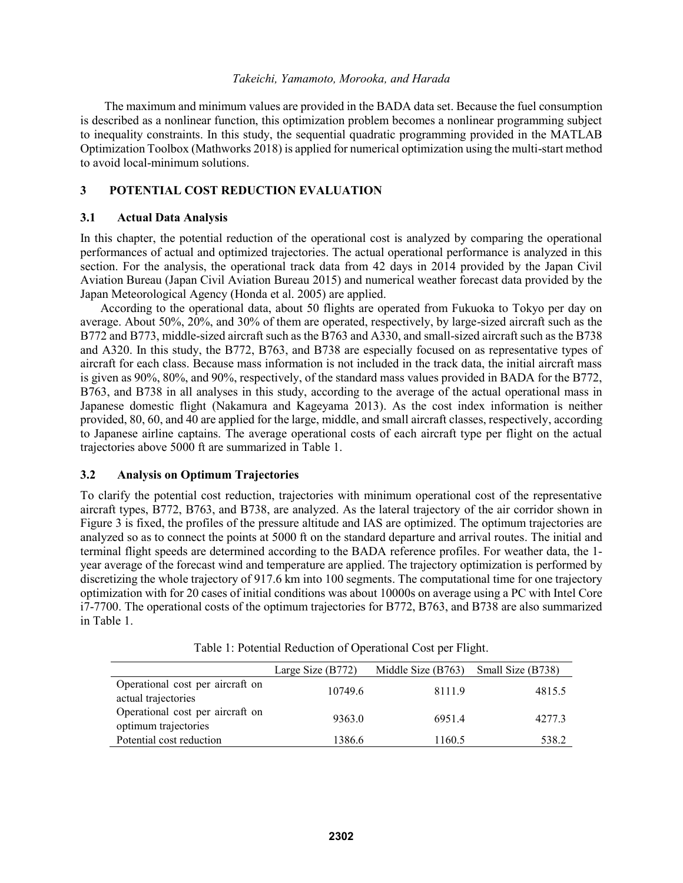The maximum and minimum values are provided in the BADA data set. Because the fuel consumption is described as a nonlinear function, this optimization problem becomes a nonlinear programming subject to inequality constraints. In this study, the sequential quadratic programming provided in the MATLAB Optimization Toolbox (Mathworks 2018) is applied for numerical optimization using the multi-start method to avoid local-minimum solutions.

# **3 POTENTIAL COST REDUCTION EVALUATION**

### **3.1 Actual Data Analysis**

In this chapter, the potential reduction of the operational cost is analyzed by comparing the operational performances of actual and optimized trajectories. The actual operational performance is analyzed in this section. For the analysis, the operational track data from 42 days in 2014 provided by the Japan Civil Aviation Bureau (Japan Civil Aviation Bureau 2015) and numerical weather forecast data provided by the Japan Meteorological Agency (Honda et al. 2005) are applied.

According to the operational data, about 50 flights are operated from Fukuoka to Tokyo per day on average. About 50%, 20%, and 30% of them are operated, respectively, by large-sized aircraft such as the B772 and B773, middle-sized aircraft such as the B763 and A330, and small-sized aircraft such as the B738 and A320. In this study, the B772, B763, and B738 are especially focused on as representative types of aircraft for each class. Because mass information is not included in the track data, the initial aircraft mass is given as 90%, 80%, and 90%, respectively, of the standard mass values provided in BADA for the B772, B763, and B738 in all analyses in this study, according to the average of the actual operational mass in Japanese domestic flight (Nakamura and Kageyama 2013). As the cost index information is neither provided, 80, 60, and 40 are applied for the large, middle, and small aircraft classes, respectively, according to Japanese airline captains. The average operational costs of each aircraft type per flight on the actual trajectories above 5000 ft are summarized in Table 1.

# **3.2 Analysis on Optimum Trajectories**

To clarify the potential cost reduction, trajectories with minimum operational cost of the representative aircraft types, B772, B763, and B738, are analyzed. As the lateral trajectory of the air corridor shown in Figure 3 is fixed, the profiles of the pressure altitude and IAS are optimized. The optimum trajectories are analyzed so as to connect the points at 5000 ft on the standard departure and arrival routes. The initial and terminal flight speeds are determined according to the BADA reference profiles. For weather data, the 1 year average of the forecast wind and temperature are applied. The trajectory optimization is performed by discretizing the whole trajectory of 917.6 km into 100 segments. The computational time for one trajectory optimization with for 20 cases of initial conditions was about 10000s on average using a PC with Intel Core i7-7700. The operational costs of the optimum trajectories for B772, B763, and B738 are also summarized in Table 1.

|                                                          | Large Size $(B772)$ | Middle Size (B763) | Small Size (B738) |
|----------------------------------------------------------|---------------------|--------------------|-------------------|
| Operational cost per aircraft on<br>actual trajectories  | 10749.6             | 8111.9             | 4815.5            |
| Operational cost per aircraft on<br>optimum trajectories | 9363.0              | 69514              | 4277.3            |
| Potential cost reduction                                 | 1386.6              | 1160.5             | 538.2             |

Table 1: Potential Reduction of Operational Cost per Flight.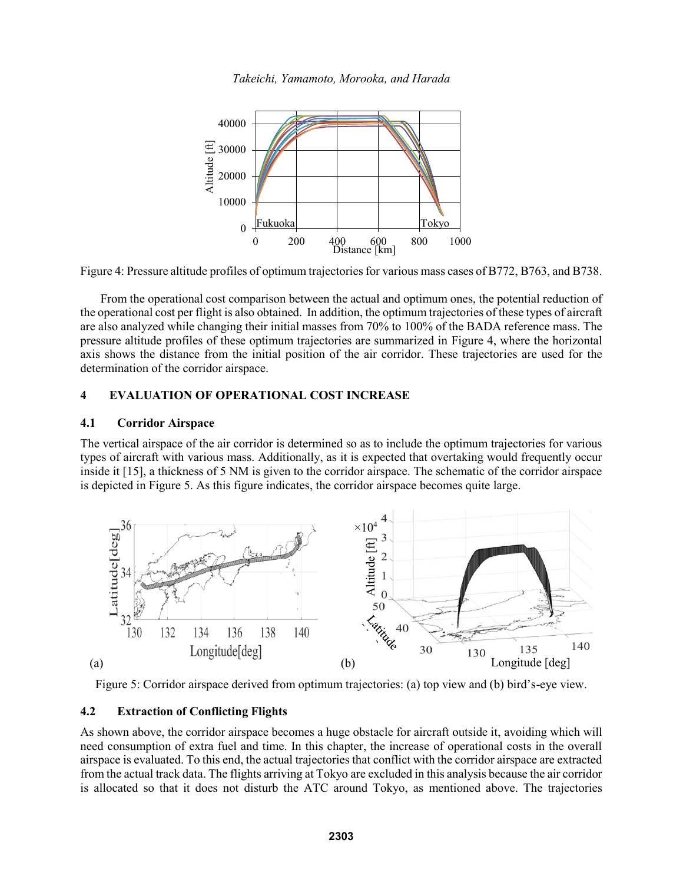

Figure 4: Pressure altitude profiles of optimum trajectories for various mass cases of B772, B763, and B738.

From the operational cost comparison between the actual and optimum ones, the potential reduction of the operational cost per flight is also obtained. In addition, the optimum trajectories of these types of aircraft are also analyzed while changing their initial masses from 70% to 100% of the BADA reference mass. The pressure altitude profiles of these optimum trajectories are summarized in Figure 4, where the horizontal axis shows the distance from the initial position of the air corridor. These trajectories are used for the determination of the corridor airspace.

# **4 EVALUATION OF OPERATIONAL COST INCREASE**

### **4.1 Corridor Airspace**

The vertical airspace of the air corridor is determined so as to include the optimum trajectories for various types of aircraft with various mass. Additionally, as it is expected that overtaking would frequently occur inside it [15], a thickness of 5 NM is given to the corridor airspace. The schematic of the corridor airspace is depicted in Figure 5. As this figure indicates, the corridor airspace becomes quite large.



Figure 5: Corridor airspace derived from optimum trajectories: (a) top view and (b) bird's-eye view.

# **4.2 Extraction of Conflicting Flights**

As shown above, the corridor airspace becomes a huge obstacle for aircraft outside it, avoiding which will need consumption of extra fuel and time. In this chapter, the increase of operational costs in the overall airspace is evaluated. To this end, the actual trajectories that conflict with the corridor airspace are extracted from the actual track data. The flights arriving at Tokyo are excluded in this analysis because the air corridor is allocated so that it does not disturb the ATC around Tokyo, as mentioned above. The trajectories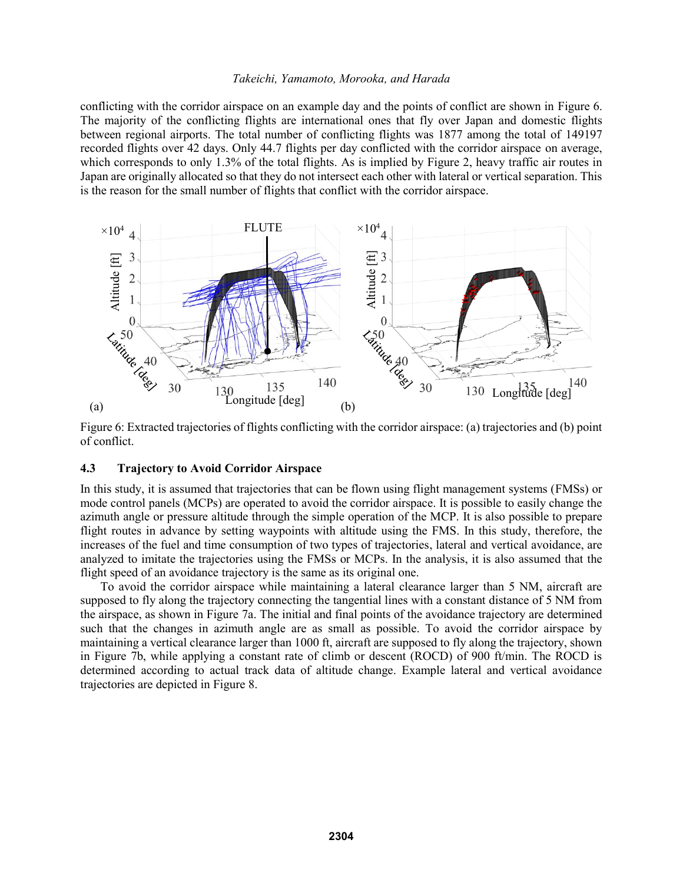conflicting with the corridor airspace on an example day and the points of conflict are shown in Figure 6. The majority of the conflicting flights are international ones that fly over Japan and domestic flights between regional airports. The total number of conflicting flights was 1877 among the total of 149197 recorded flights over 42 days. Only 44.7 flights per day conflicted with the corridor airspace on average, which corresponds to only 1.3% of the total flights. As is implied by Figure 2, heavy traffic air routes in Japan are originally allocated so that they do not intersect each other with lateral or vertical separation. This is the reason for the small number of flights that conflict with the corridor airspace.



Figure 6: Extracted trajectories of flights conflicting with the corridor airspace: (a) trajectories and (b) point of conflict.

# **4.3 Trajectory to Avoid Corridor Airspace**

In this study, it is assumed that trajectories that can be flown using flight management systems (FMSs) or mode control panels (MCPs) are operated to avoid the corridor airspace. It is possible to easily change the azimuth angle or pressure altitude through the simple operation of the MCP. It is also possible to prepare flight routes in advance by setting waypoints with altitude using the FMS. In this study, therefore, the increases of the fuel and time consumption of two types of trajectories, lateral and vertical avoidance, are analyzed to imitate the trajectories using the FMSs or MCPs. In the analysis, it is also assumed that the flight speed of an avoidance trajectory is the same as its original one.

To avoid the corridor airspace while maintaining a lateral clearance larger than 5 NM, aircraft are supposed to fly along the trajectory connecting the tangential lines with a constant distance of 5 NM from the airspace, as shown in Figure 7a. The initial and final points of the avoidance trajectory are determined such that the changes in azimuth angle are as small as possible. To avoid the corridor airspace by maintaining a vertical clearance larger than 1000 ft, aircraft are supposed to fly along the trajectory, shown in Figure 7b, while applying a constant rate of climb or descent (ROCD) of 900 ft/min. The ROCD is determined according to actual track data of altitude change. Example lateral and vertical avoidance trajectories are depicted in Figure 8.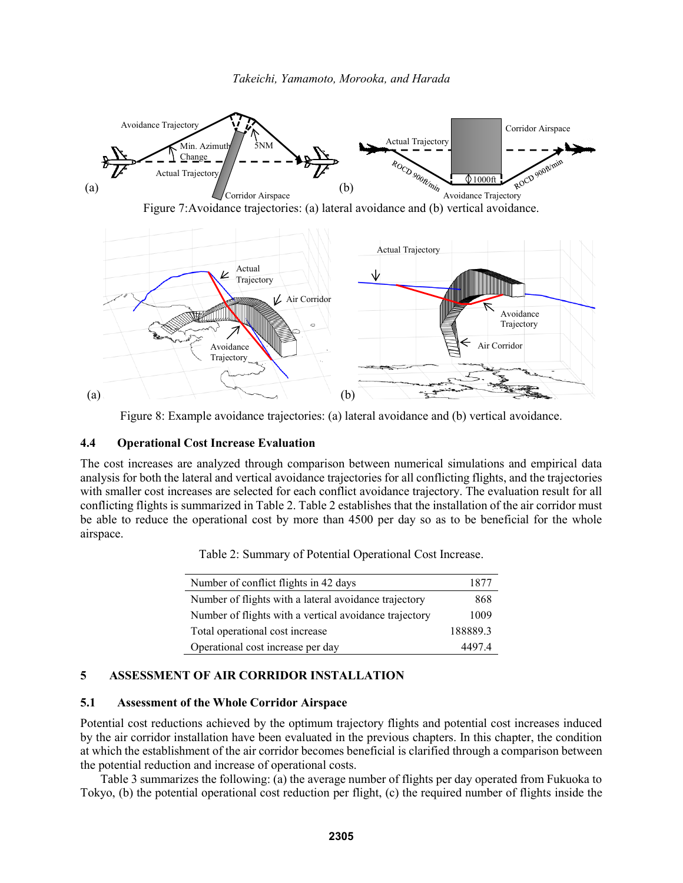

Figure 7:Avoidance trajectories: (a) lateral avoidance and (b) vertical avoidance.



Figure 8: Example avoidance trajectories: (a) lateral avoidance and (b) vertical avoidance.

# **4.4 Operational Cost Increase Evaluation**

The cost increases are analyzed through comparison between numerical simulations and empirical data analysis for both the lateral and vertical avoidance trajectories for all conflicting flights, and the trajectories with smaller cost increases are selected for each conflict avoidance trajectory. The evaluation result for all conflicting flights is summarized in Table 2. Table 2 establishes that the installation of the air corridor must be able to reduce the operational cost by more than 4500 per day so as to be beneficial for the whole airspace.

| Table 2: Summary of Potential Operational Cost Increase. |  |  |  |  |  |  |  |  |
|----------------------------------------------------------|--|--|--|--|--|--|--|--|
|----------------------------------------------------------|--|--|--|--|--|--|--|--|

| Number of conflict flights in 42 days                  | 1877     |
|--------------------------------------------------------|----------|
| Number of flights with a lateral avoidance trajectory  | 868      |
| Number of flights with a vertical avoidance trajectory | 1009     |
| Total operational cost increase                        | 188889.3 |
| Operational cost increase per day                      | 44974    |

# **5 ASSESSMENT OF AIR CORRIDOR INSTALLATION**

### **5.1 Assessment of the Whole Corridor Airspace**

Potential cost reductions achieved by the optimum trajectory flights and potential cost increases induced by the air corridor installation have been evaluated in the previous chapters. In this chapter, the condition at which the establishment of the air corridor becomes beneficial is clarified through a comparison between the potential reduction and increase of operational costs.

Table 3 summarizes the following: (a) the average number of flights per day operated from Fukuoka to Tokyo, (b) the potential operational cost reduction per flight, (c) the required number of flights inside the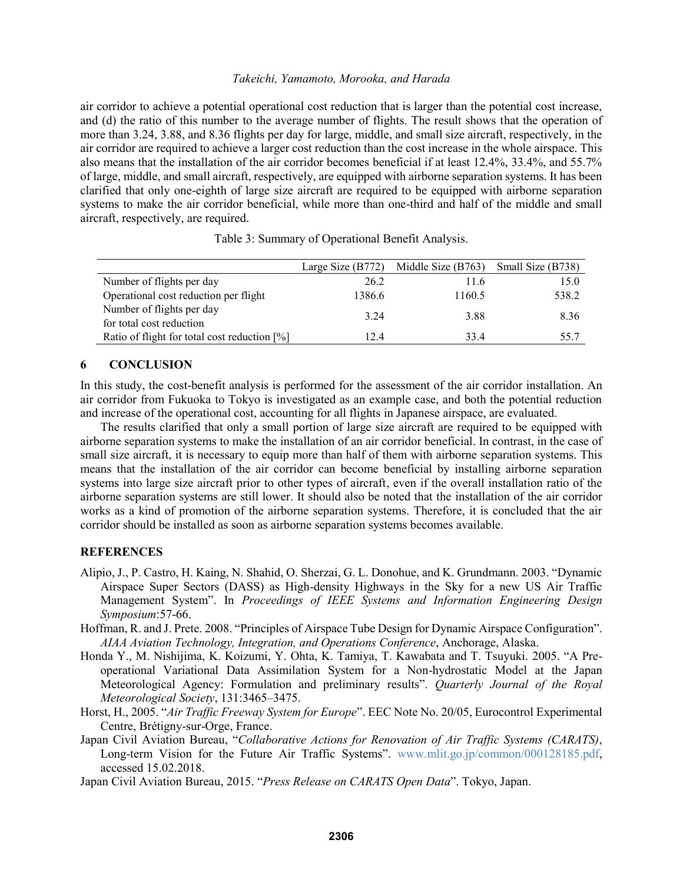air corridor to achieve a potential operational cost reduction that is larger than the potential cost increase, and (d) the ratio of this number to the average number of flights. The result shows that the operation of more than 3.24, 3.88, and 8.36 flights per day for large, middle, and small size aircraft, respectively, in the air corridor are required to achieve a larger cost reduction than the cost increase in the whole airspace. This also means that the installation of the air corridor becomes beneficial if at least 12.4%, 33.4%, and 55.7% of large, middle, and small aircraft, respectively, are equipped with airborne separation systems. It has been clarified that only one-eighth of large size aircraft are required to be equipped with airborne separation systems to make the air corridor beneficial, while more than one-third and half of the middle and small aircraft, respectively, are required.

|                                                | Large Size $(B772)$ | Middle Size (B763) | Small Size (B738) |
|------------------------------------------------|---------------------|--------------------|-------------------|
| Number of flights per day                      | 26.2                | 11.6               | 15.0              |
| Operational cost reduction per flight          | 1386.6              | 1160.5             | 538.2             |
| Number of flights per day                      | 3 24                | 3.88               | 8.36              |
| for total cost reduction                       |                     |                    |                   |
| Ratio of flight for total cost reduction $[%]$ | 124                 | 334                | 55.7              |

Table 3: Summary of Operational Benefit Analysis.

### **6 CONCLUSION**

In this study, the cost-benefit analysis is performed for the assessment of the air corridor installation. An air corridor from Fukuoka to Tokyo is investigated as an example case, and both the potential reduction and increase of the operational cost, accounting for all flights in Japanese airspace, are evaluated.

The results clarified that only a small portion of large size aircraft are required to be equipped with airborne separation systems to make the installation of an air corridor beneficial. In contrast, in the case of small size aircraft, it is necessary to equip more than half of them with airborne separation systems. This means that the installation of the air corridor can become beneficial by installing airborne separation systems into large size aircraft prior to other types of aircraft, even if the overall installation ratio of the airborne separation systems are still lower. It should also be noted that the installation of the air corridor works as a kind of promotion of the airborne separation systems. Therefore, it is concluded that the air corridor should be installed as soon as airborne separation systems becomes available.

# **REFERENCES**

- Alipio, J., P. Castro, H. Kaing, N. Shahid, O. Sherzai, G. L. Donohue, and K. Grundmann. 2003. "Dynamic Airspace Super Sectors (DASS) as High-density Highways in the Sky for a new US Air Traffic Management System". In *Proceedings of IEEE Systems and Information Engineering Design Symposium*:57-66.
- Hoffman, R. and J. Prete. 2008. "Principles of Airspace Tube Design for Dynamic Airspace Configuration". *AIAA Aviation Technology, Integration, and Operations Conference*, Anchorage, Alaska.
- Honda Y., M. Nishijima, K. Koizumi, Y. Ohta, K. Tamiya, T. Kawabata and T. Tsuyuki. 2005. "A Preoperational Variational Data Assimilation System for a Non-hydrostatic Model at the Japan Meteorological Agency: Formulation and preliminary results". *Quarterly Journal of the Royal Meteorological Society*, 131:3465–3475.
- Horst, H., 2005. "*Air Traffic Freeway System for Europe*". EEC Note No. 20/05, Eurocontrol Experimental Centre, Brétigny-sur-Orge, France.
- Japan Civil Aviation Bureau, "*Collaborative Actions for Renovation of Air Traffic Systems (CARATS)*, Long-term Vision for the Future Air Traffic Systems". www.mlit.go.jp/common/000128185.pdf, accessed 15.02.2018.
- Japan Civil Aviation Bureau, 2015. "*Press Release on CARATS Open Data*". Tokyo, Japan.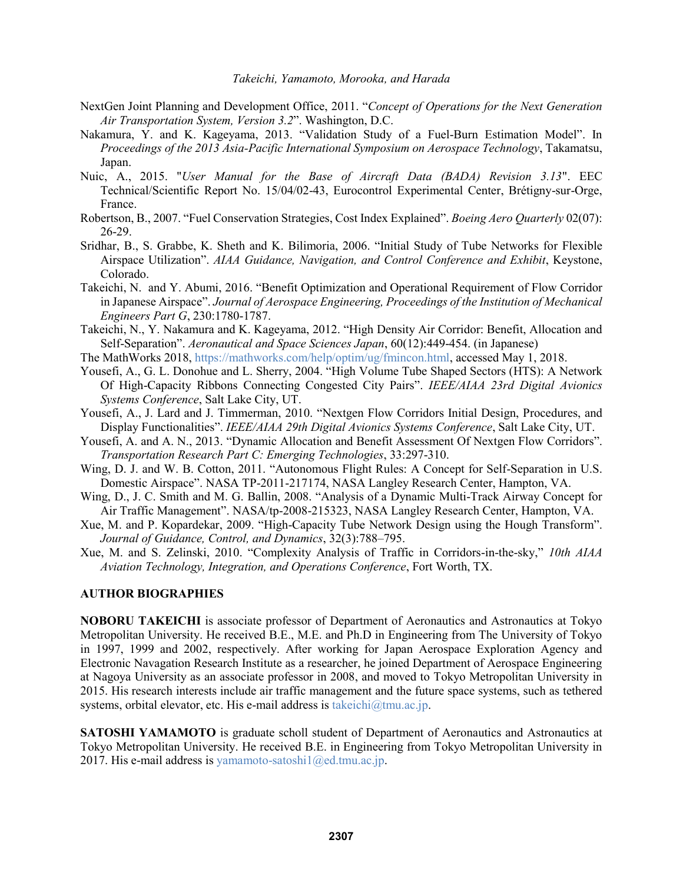- NextGen Joint Planning and Development Office, 2011. "*Concept of Operations for the Next Generation Air Transportation System, Version 3.2*". Washington, D.C.
- Nakamura, Y. and K. Kageyama, 2013. "Validation Study of a Fuel-Burn Estimation Model". In *Proceedings of the 2013 Asia-Pacific International Symposium on Aerospace Technology*, Takamatsu, Japan.
- Nuic, A., 2015. "*User Manual for the Base of Aircraft Data (BADA) Revision 3.13*". EEC Technical/Scientific Report No. 15/04/02-43, Eurocontrol Experimental Center, Brétigny-sur-Orge, France.
- Robertson, B., 2007. "Fuel Conservation Strategies, Cost Index Explained". *Boeing Aero Quarterly* 02(07): 26-29.
- Sridhar, B., S. Grabbe, K. Sheth and K. Bilimoria, 2006. "Initial Study of Tube Networks for Flexible Airspace Utilization". *AIAA Guidance, Navigation, and Control Conference and Exhibit*, Keystone, Colorado.
- Takeichi, N. and Y. Abumi, 2016. "Benefit Optimization and Operational Requirement of Flow Corridor in Japanese Airspace". *Journal of Aerospace Engineering, Proceedings of the Institution of Mechanical Engineers Part G*, 230:1780-1787.
- Takeichi, N., Y. Nakamura and K. Kageyama, 2012. "High Density Air Corridor: Benefit, Allocation and Self-Separation". *Aeronautical and Space Sciences Japan*, 60(12):449-454. (in Japanese)

The MathWorks 2018, https://mathworks.com/help/optim/ug/fmincon.html, accessed May 1, 2018.

- Yousefi, A., G. L. Donohue and L. Sherry, 2004. "High Volume Tube Shaped Sectors (HTS): A Network Of High-Capacity Ribbons Connecting Congested City Pairs". *IEEE/AIAA 23rd Digital Avionics Systems Conference*, Salt Lake City, UT.
- Yousefi, A., J. Lard and J. Timmerman, 2010. "Nextgen Flow Corridors Initial Design, Procedures, and Display Functionalities". *IEEE/AIAA 29th Digital Avionics Systems Conference*, Salt Lake City, UT.
- Yousefi, A. and A. N., 2013. "Dynamic Allocation and Benefit Assessment Of Nextgen Flow Corridors". *Transportation Research Part C: Emerging Technologies*, 33:297-310.
- Wing, D. J. and W. B. Cotton, 2011. "Autonomous Flight Rules: A Concept for Self-Separation in U.S. Domestic Airspace". NASA TP-2011-217174, NASA Langley Research Center, Hampton, VA.
- Wing, D., J. C. Smith and M. G. Ballin, 2008. "Analysis of a Dynamic Multi-Track Airway Concept for Air Traffic Management". NASA/tp-2008-215323, NASA Langley Research Center, Hampton, VA.
- Xue, M. and P. Kopardekar, 2009. "High-Capacity Tube Network Design using the Hough Transform". *Journal of Guidance, Control, and Dynamics*, 32(3):788–795.
- Xue, M. and S. Zelinski, 2010. "Complexity Analysis of Traffic in Corridors-in-the-sky," *10th AIAA Aviation Technology, Integration, and Operations Conference*, Fort Worth, TX.

### **AUTHOR BIOGRAPHIES**

**NOBORU TAKEICHI** is associate professor of Department of Aeronautics and Astronautics at Tokyo Metropolitan University. He received B.E., M.E. and Ph.D in Engineering from The University of Tokyo in 1997, 1999 and 2002, respectively. After working for Japan Aerospace Exploration Agency and Electronic Navagation Research Institute as a researcher, he joined Department of Aerospace Engineering at Nagoya University as an associate professor in 2008, and moved to Tokyo Metropolitan University in 2015. His research interests include air traffic management and the future space systems, such as tethered systems, orbital elevator, etc. His e-mail address is takeichi@tmu.ac.jp.

**SATOSHI YAMAMOTO** is graduate scholl student of Department of Aeronautics and Astronautics at Tokyo Metropolitan University. He received B.E. in Engineering from Tokyo Metropolitan University in 2017. His e-mail address is yamamoto-satoshi $1$ @ed.tmu.ac.jp.